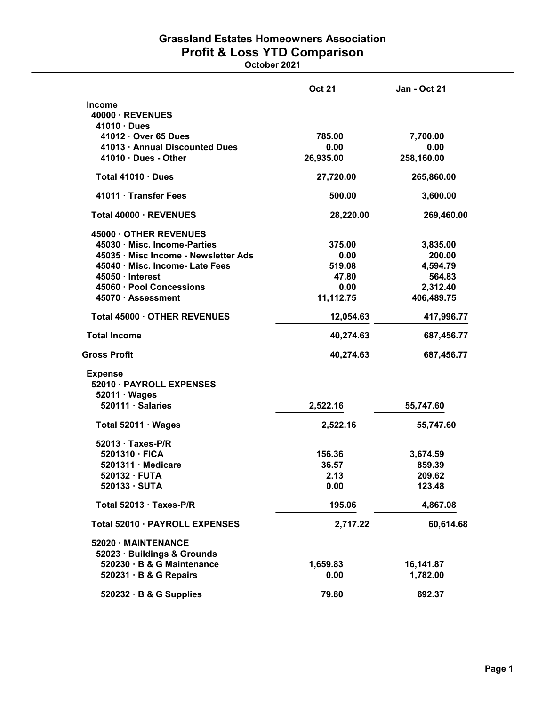## Grassland Estates Homeowners Association Profit & Loss YTD Comparison

October 2021

|                                                        | <b>Oct 21</b> | <b>Jan - Oct 21</b> |
|--------------------------------------------------------|---------------|---------------------|
| <b>Income</b>                                          |               |                     |
| 40000 · REVENUES                                       |               |                     |
| 41010 · Dues                                           | 785.00        |                     |
| 41012 · Over 65 Dues<br>41013 · Annual Discounted Dues | 0.00          | 7,700.00<br>0.00    |
| $41010 \cdot$ Dues - Other                             | 26,935.00     | 258,160.00          |
|                                                        |               |                     |
| Total 41010 · Dues                                     | 27,720.00     | 265,860.00          |
| 41011 · Transfer Fees                                  | 500.00        | 3,600.00            |
| Total 40000 · REVENUES                                 | 28,220.00     | 269,460.00          |
| 45000 OTHER REVENUES                                   |               |                     |
| 45030 · Misc. Income-Parties                           | 375.00        | 3,835.00            |
| 45035 · Misc Income - Newsletter Ads                   | 0.00          | 200.00              |
| 45040 · Misc. Income- Late Fees                        | 519.08        | 4,594.79            |
| $45050 \cdot$ Interest                                 | 47.80         | 564.83              |
| 45060 · Pool Concessions                               | 0.00          | 2,312.40            |
| 45070 · Assessment                                     | 11,112.75     | 406,489.75          |
| Total 45000 · OTHER REVENUES                           | 12,054.63     | 417,996.77          |
| <b>Total Income</b>                                    | 40,274.63     | 687,456.77          |
| <b>Gross Profit</b>                                    | 40,274.63     | 687,456.77          |
| <b>Expense</b>                                         |               |                     |
| 52010 · PAYROLL EXPENSES                               |               |                     |
| $52011 \cdot Wages$                                    |               |                     |
| 520111 · Salaries                                      | 2,522.16      | 55,747.60           |
| Total $52011 \cdot Wages$                              | 2,522.16      | 55,747.60           |
| $52013 \cdot$ Taxes-P/R                                |               |                     |
| 5201310 · FICA                                         | 156.36        | 3,674.59            |
| $5201311 \cdot$ Medicare                               | 36.57         | 859.39              |
| $520132 \cdot FUTA$                                    | 2.13          | 209.62              |
| 520133 · SUTA                                          | 0.00          | 123.48              |
| Total 52013 · Taxes-P/R                                | 195.06        | 4,867.08            |
| Total 52010 · PAYROLL EXPENSES                         | 2,717.22      | 60,614.68           |
| 52020 · MAINTENANCE                                    |               |                     |
| 52023 · Buildings & Grounds                            |               |                     |
| 520230 · B & G Maintenance                             | 1,659.83      | 16,141.87           |
| 520231 · B & G Repairs                                 | 0.00          | 1,782.00            |
| 520232 · B & G Supplies                                | 79.80         | 692.37              |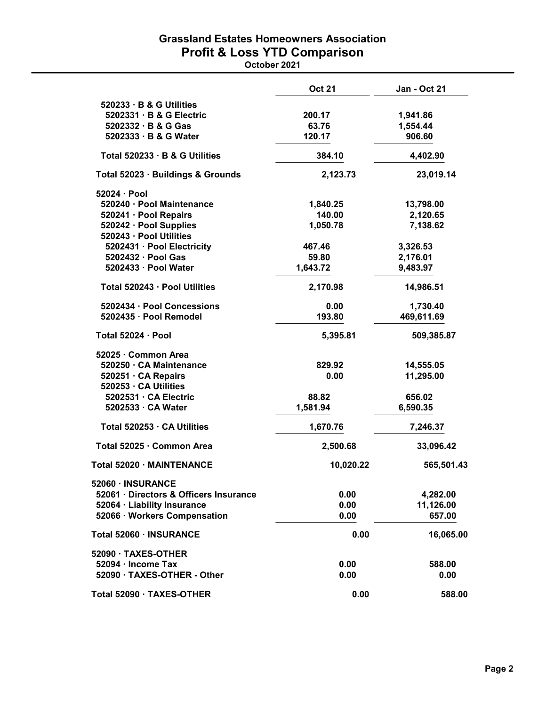## Grassland Estates Homeowners Association Profit & Loss YTD Comparison

October 2021

|                                                   | <b>Oct 21</b> | <b>Jan - Oct 21</b> |
|---------------------------------------------------|---------------|---------------------|
| 520233 · B & G Utilities                          |               |                     |
| 5202331 · B & G Electric                          | 200.17        | 1,941.86            |
| 5202332 · B & G Gas                               | 63.76         | 1,554.44            |
| 5202333 · B & G Water                             | 120.17        | 906.60              |
| Total 520233 · B & G Utilities                    | 384.10        | 4,402.90            |
| Total 52023 · Buildings & Grounds                 | 2,123.73      | 23,019.14           |
| 52024 · Pool                                      |               |                     |
| 520240 · Pool Maintenance                         | 1,840.25      | 13,798.00           |
| 520241 · Pool Repairs                             | 140.00        | 2,120.65            |
| 520242 · Pool Supplies<br>520243 · Pool Utilities | 1,050.78      | 7,138.62            |
| 5202431 · Pool Electricity                        | 467.46        | 3,326.53            |
| 5202432 · Pool Gas                                | 59.80         | 2,176.01            |
| 5202433 · Pool Water                              | 1,643.72      | 9,483.97            |
| Total 520243 · Pool Utilities                     | 2,170.98      | 14,986.51           |
| 5202434 · Pool Concessions                        | 0.00          | 1,730.40            |
| 5202435 · Pool Remodel                            | 193.80        | 469,611.69          |
| Total 52024 · Pool                                | 5,395.81      | 509,385.87          |
| 52025 · Common Area                               |               |                     |
| 520250 · CA Maintenance                           | 829.92        | 14,555.05           |
| 520251 · CA Repairs<br>520253 · CA Utilities      | 0.00          | 11,295.00           |
| 5202531 · CA Electric                             | 88.82         | 656.02              |
| 5202533 · CA Water                                | 1,581.94      | 6,590.35            |
| Total 520253 · CA Utilities                       | 1,670.76      | 7,246.37            |
| Total 52025 · Common Area                         | 2,500.68      | 33,096.42           |
|                                                   |               |                     |
| Total 52020 · MAINTENANCE                         | 10,020.22     | 565,501.43          |
| 52060 · INSURANCE                                 |               |                     |
| 52061 · Directors & Officers Insurance            | 0.00          | 4,282.00            |
| 52064 · Liability Insurance                       | 0.00          | 11,126.00           |
| 52066 · Workers Compensation                      | 0.00          | 657.00              |
| Total 52060 · INSURANCE                           | 0.00          | 16,065.00           |
| 52090 · TAXES-OTHER                               |               |                     |
| 52094 · Income Tax                                | 0.00          | 588.00              |
| 52090 · TAXES-OTHER - Other                       | 0.00          | 0.00                |
| Total 52090 · TAXES-OTHER                         | 0.00          | 588.00              |